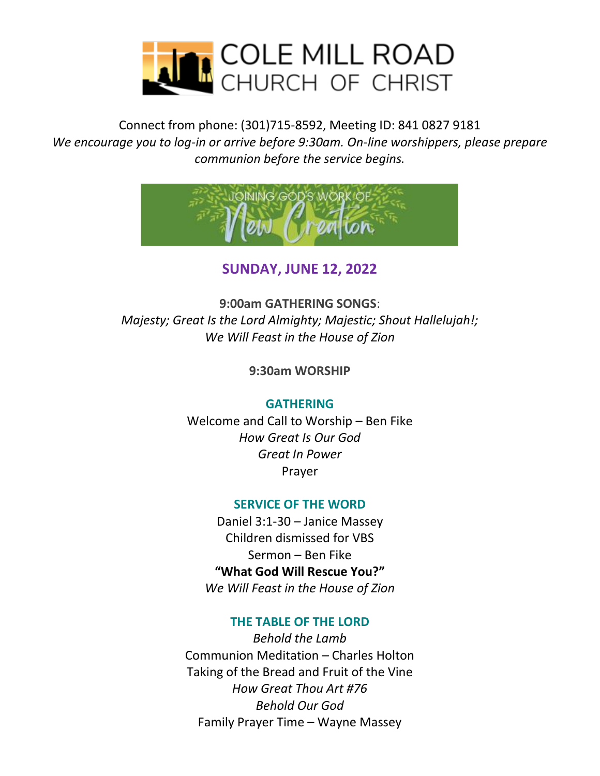

Connect from phone: (301)715-8592, Meeting ID: 841 0827 9181 *We encourage you to log-in or arrive before 9:30am. On-line worshippers, please prepare communion before the service begins.*



**SUNDAY, JUNE 12, 2022**

**9:00am GATHERING SONGS**: *Majesty; Great Is the Lord Almighty; Majestic; Shout Hallelujah!; We Will Feast in the House of Zion*

**9:30am WORSHIP**

### **GATHERING**

Welcome and Call to Worship – Ben Fike *How Great Is Our God Great In Power* Prayer

### **SERVICE OF THE WORD**

Daniel 3:1-30 – Janice Massey Children dismissed for VBS Sermon – Ben Fike **"What God Will Rescue You?"** *We Will Feast in the House of Zion*

### **THE TABLE OF THE LORD**

*Behold the Lamb* Communion Meditation – Charles Holton Taking of the Bread and Fruit of the Vine *How Great Thou Art #76 Behold Our God* Family Prayer Time – Wayne Massey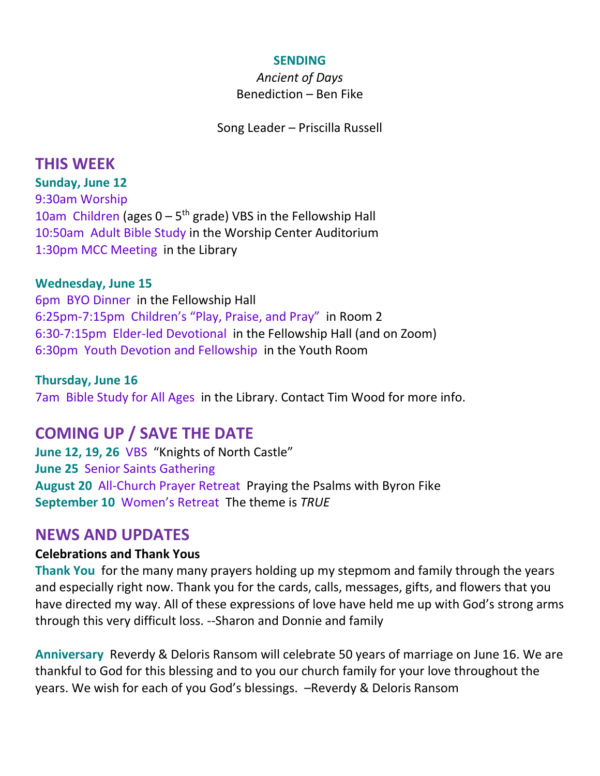#### **SENDING**

*Ancient of Days* Benediction – Ben Fike

Song Leader – Priscilla Russell

# **THIS WEEK**

**Sunday, June 12** 9:30am Worship 10am Children (ages  $0 - 5$ <sup>th</sup> grade) VBS in the Fellowship Hall 10:50am Adult Bible Study in the Worship Center Auditorium 1:30pm MCC Meeting in the Library

### **Wednesday, June 15**

6pm BYO Dinner in the Fellowship Hall 6:25pm-7:15pm Children's "Play, Praise, and Pray" in Room 2 6:30-7:15pm Elder-led Devotional in the Fellowship Hall (and on Zoom) 6:30pm Youth Devotion and Fellowship in the Youth Room

#### **Thursday, June 16**

7am Bible Study for All Ages in the Library. Contact Tim Wood for more info.

# **COMING UP / SAVE THE DATE**

**June 12, 19, 26** VBS "Knights of North Castle" **June 25** Senior Saints Gathering **August 20** All-Church Prayer Retreat Praying the Psalms with Byron Fike **September 10** Women's Retreat The theme is *TRUE*

## **NEWS AND UPDATES**

### **Celebrations and Thank Yous**

**Thank You** for the many many prayers holding up my stepmom and family through the years and especially right now. Thank you for the cards, calls, messages, gifts, and flowers that you have directed my way. All of these expressions of love have held me up with God's strong arms through this very difficult loss. --Sharon and Donnie and family

**Anniversary** Reverdy & Deloris Ransom will celebrate 50 years of marriage on June 16. We are thankful to God for this blessing and to you our church family for your love throughout the years. We wish for each of you God's blessings. –Reverdy & Deloris Ransom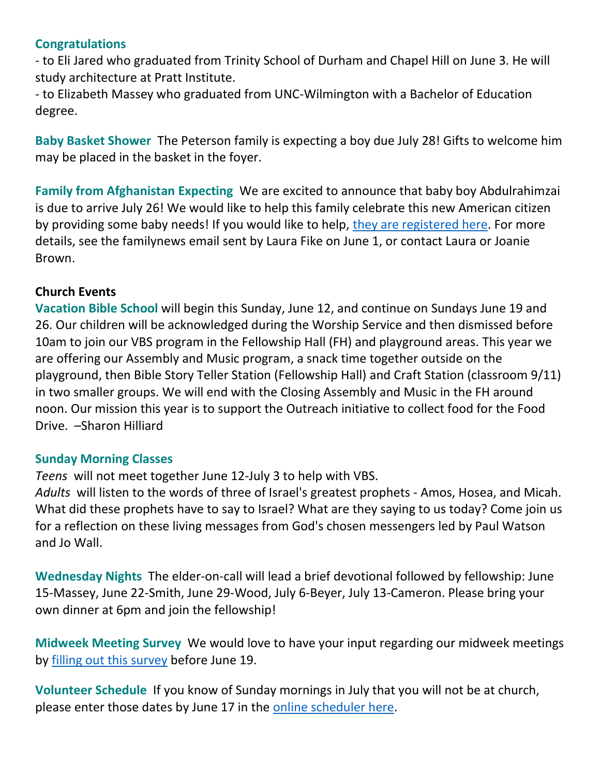### **Congratulations**

- to Eli Jared who graduated from Trinity School of Durham and Chapel Hill on June 3. He will study architecture at Pratt Institute.

- to Elizabeth Massey who graduated from UNC-Wilmington with a Bachelor of Education degree.

**Baby Basket Shower** The Peterson family is expecting a boy due July 28! Gifts to welcome him may be placed in the basket in the foyer.

**Family from Afghanistan Expecting** We are excited to announce that baby boy Abdulrahimzai is due to arrive July 26! We would like to help this family celebrate this new American citizen by providing some baby needs! If you would like to help, [they are registered here.](https://www.target.com/gift-registry/gift-giver?registryId=500df050-c0e4-11ec-a5a5-e1ea892549a6&type=BABY) For more details, see the familynews email sent by Laura Fike on June 1, or contact Laura or Joanie Brown.

### **Church Events**

**Vacation Bible School** will begin this Sunday, June 12, and continue on Sundays June 19 and 26. Our children will be acknowledged during the Worship Service and then dismissed before 10am to join our VBS program in the Fellowship Hall (FH) and playground areas. This year we are offering our Assembly and Music program, a snack time together outside on the playground, then Bible Story Teller Station (Fellowship Hall) and Craft Station (classroom 9/11) in two smaller groups. We will end with the Closing Assembly and Music in the FH around noon. Our mission this year is to support the Outreach initiative to collect food for the Food Drive. –Sharon Hilliard

### **Sunday Morning Classes**

*Teens* will not meet together June 12-July 3 to help with VBS.

*Adults* will listen to the words of three of Israel's greatest prophets - Amos, Hosea, and Micah. What did these prophets have to say to Israel? What are they saying to us today? Come join us for a reflection on these living messages from God's chosen messengers led by Paul Watson and Jo Wall.

**Wednesday Nights** The elder-on-call will lead a brief devotional followed by fellowship: June 15-Massey, June 22-Smith, June 29-Wood, July 6-Beyer, July 13-Cameron. Please bring your own dinner at 6pm and join the fellowship!

**Midweek Meeting Survey** We would love to have your input regarding our midweek meetings by [filling out this survey](https://docs.google.com/forms/d/e/1FAIpQLScGmmRlyrVTwwB2lLjJWbe-5MFjhhJ45PiMQAN_apaElqbN0Q/viewform) before June 19.

**Volunteer Schedule** If you know of Sunday mornings in July that you will not be at church, please enter those dates by June 17 in the [online scheduler here.](https://secure.rotundasoftware.com/29/web-terminal/login/colemillrd?redirectTo=%2F29%2Fweb-terminal%2Fhome%3Fuser%3Dcolemillrd%26ath)